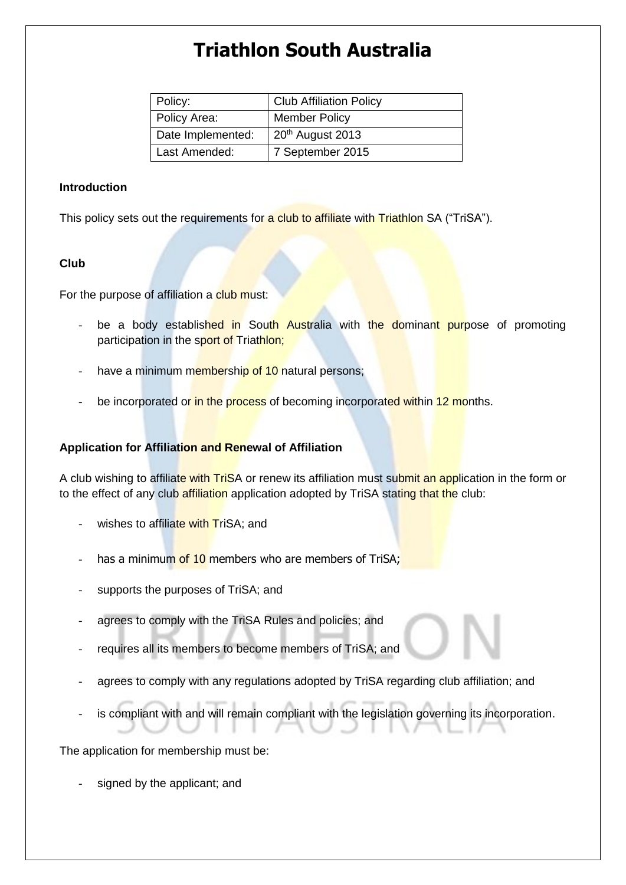# **Triathlon South Australia**

| Policy:           | <b>Club Affiliation Policy</b> |
|-------------------|--------------------------------|
| Policy Area:      | <b>Member Policy</b>           |
| Date Implemented: | 20 <sup>th</sup> August 2013   |
| Last Amended:     | 7 September 2015               |

#### **Introduction**

This policy sets out the requirements for a club to affiliate with Triathlon SA ("TriSA").

### **Club**

For the purpose of affiliation a club must:

- be a body established in South Australia with the dominant purpose of promoting participation in the sport of Triathlon;
- have a minimum membership of 10 natural persons;
- be incorporated or in the process of becoming incorporated within 12 months.

## **Application for Affiliation and Renewal of Affiliation**

A club wishing to affiliate with TriSA or renew its affiliation must submit an application in the form or to the effect of any club affiliation application adopted by TriSA stating that the club:

- wishes to affiliate with TriSA; and
- has a minimum of 10 members who are members of TriSA;
- supports the purposes of TriSA; and
- agrees to comply with the TriSA Rules and policies; and
- requires all its members to become members of TriSA; and
- agrees to comply with any regulations adopted by TriSA regarding club affiliation; and
- is compliant with and will remain compliant with the legislation governing its incorporation.

The application for membership must be:

signed by the applicant; and